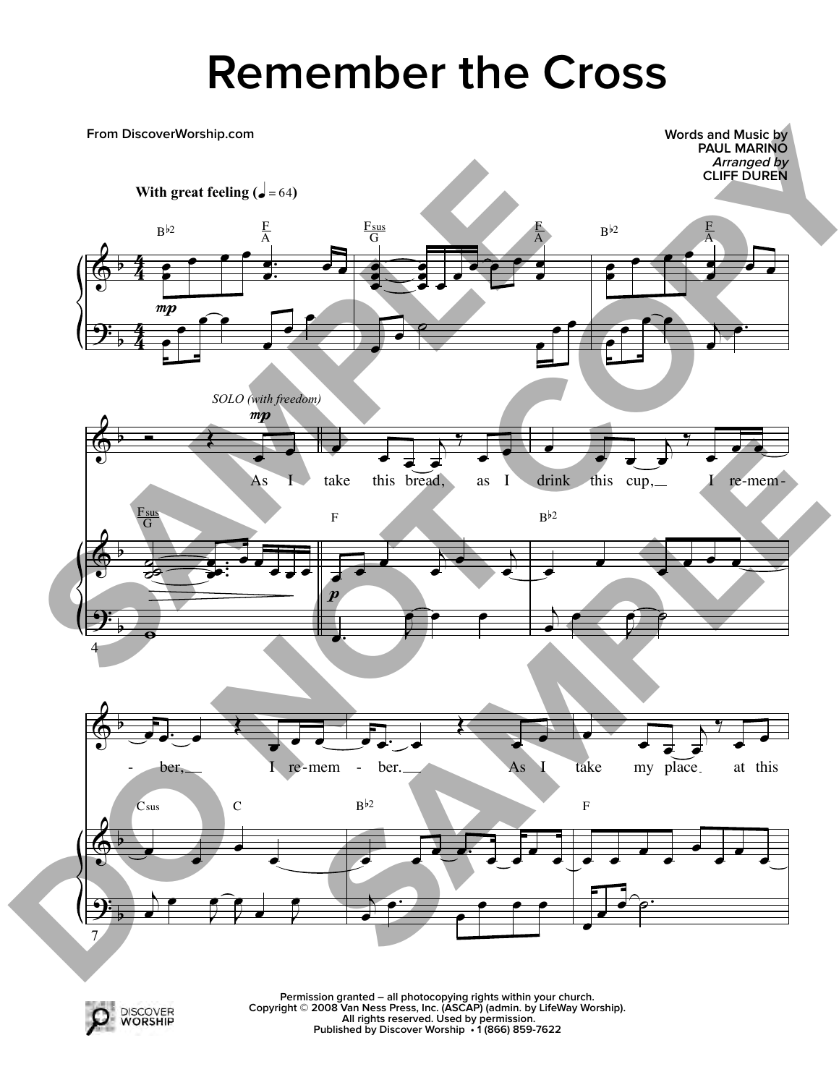## **Remember the Cross**





**Permission granted – all photocopying rights within your church. Copyright © 2008 Van Ness Press, Inc. (ASCAP) (admin. by LifeWay Worship). All rights reserved. Used by permission. Published by Discover Worship • 1 (866) 859-7622**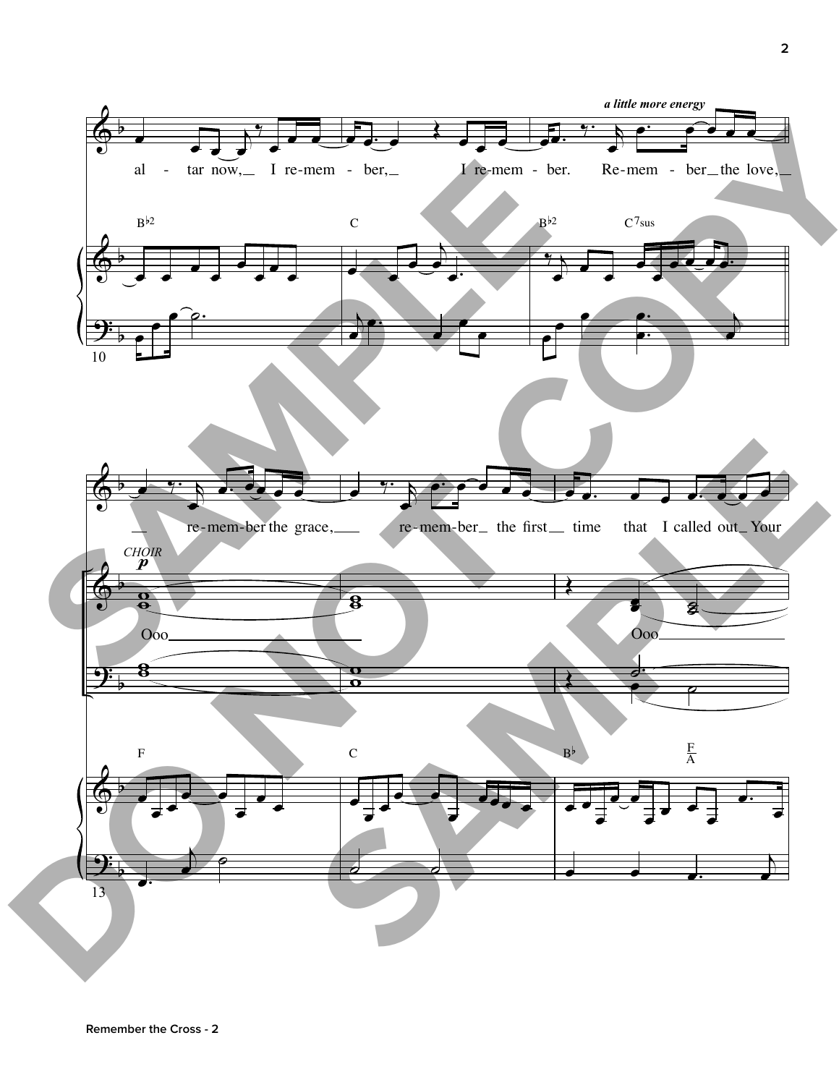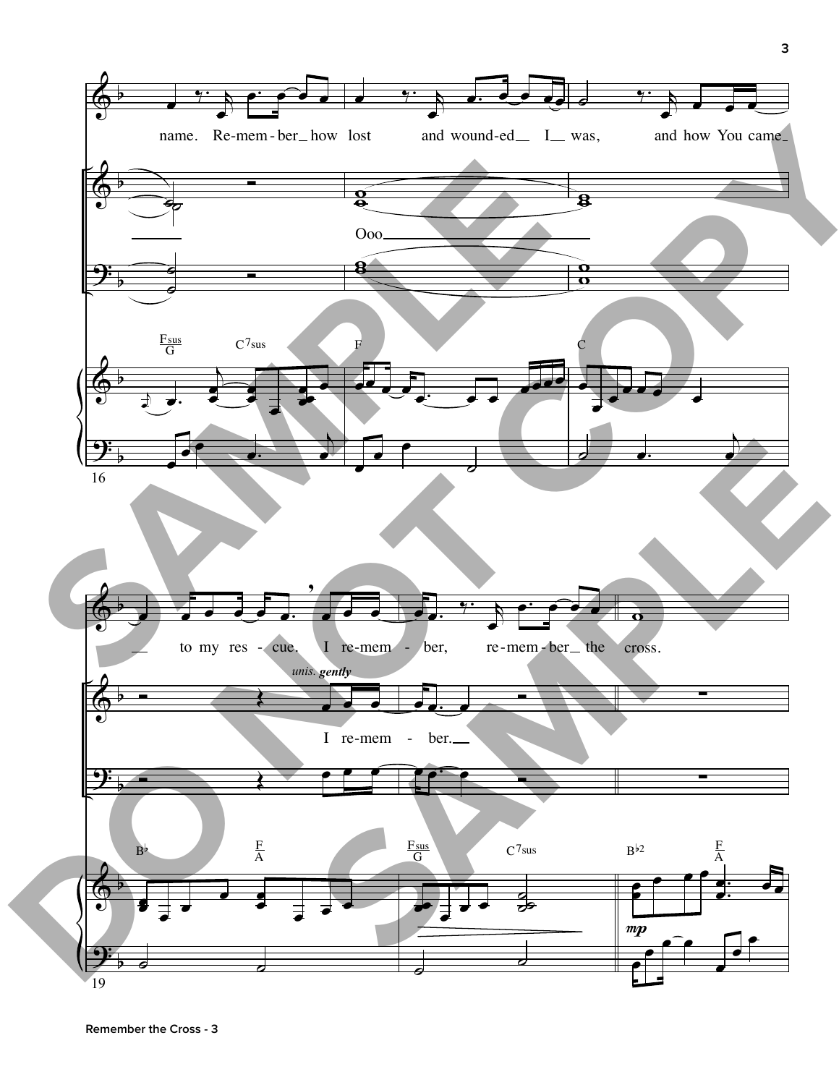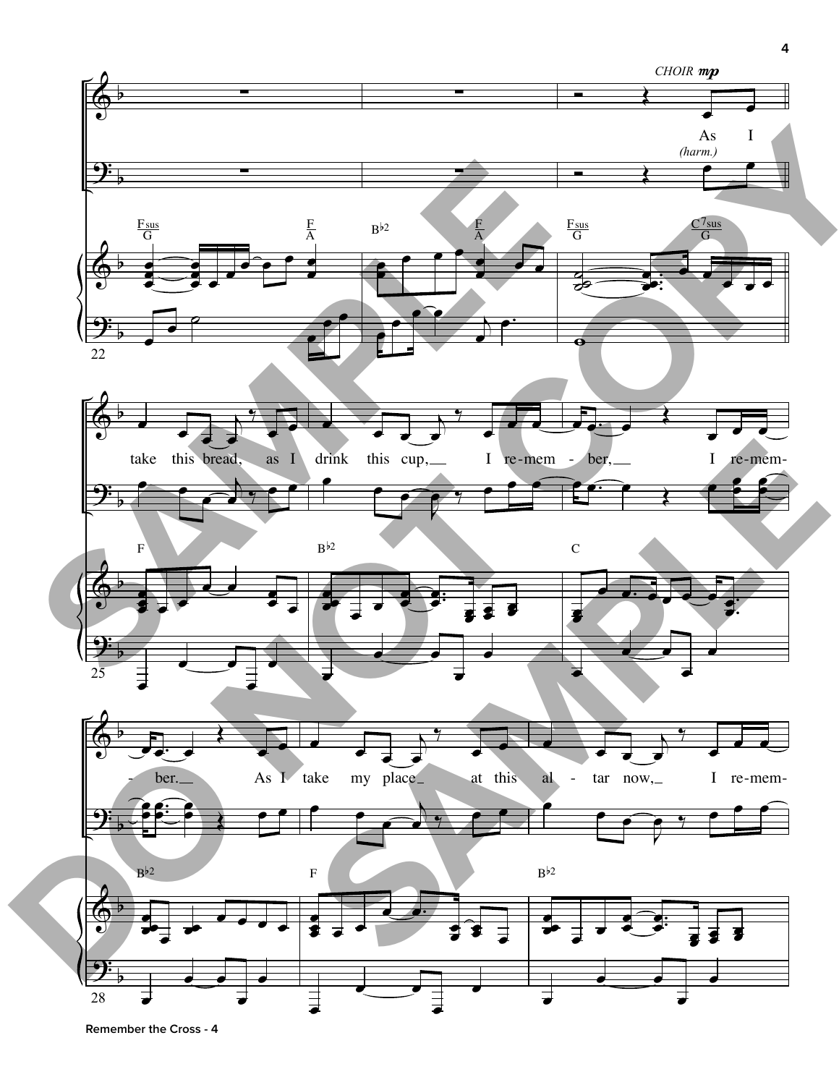

**Remember the Cross - 4**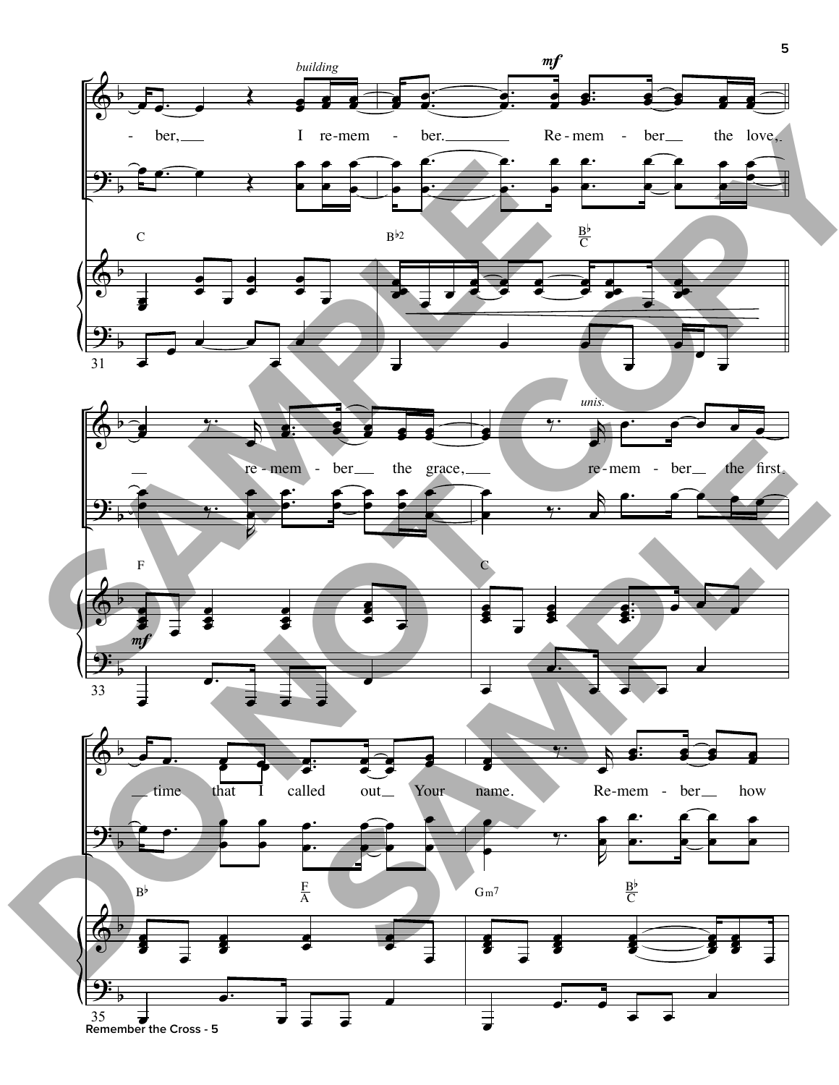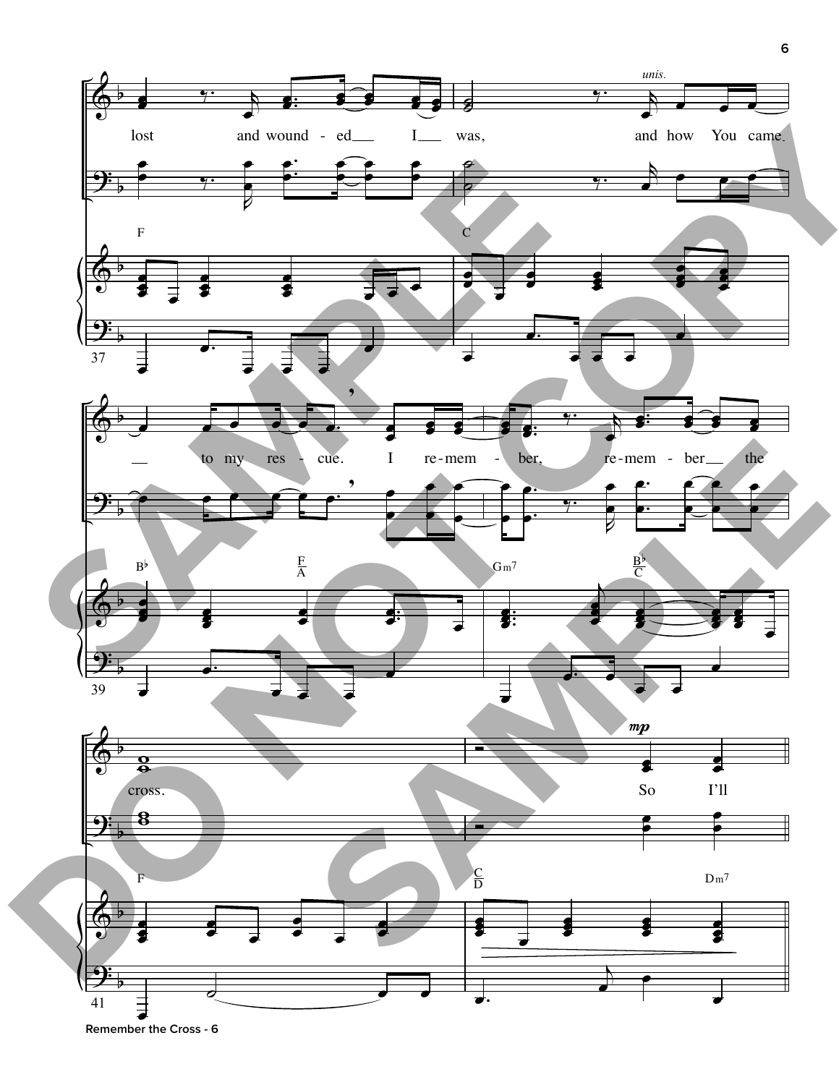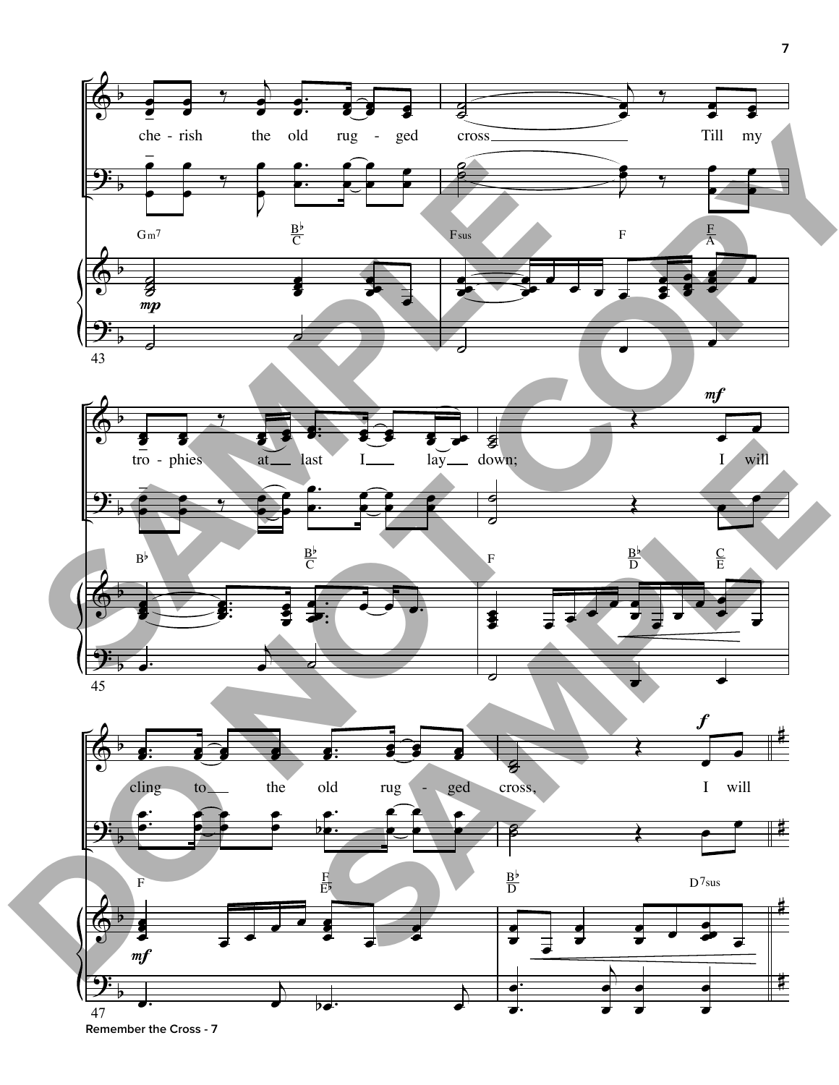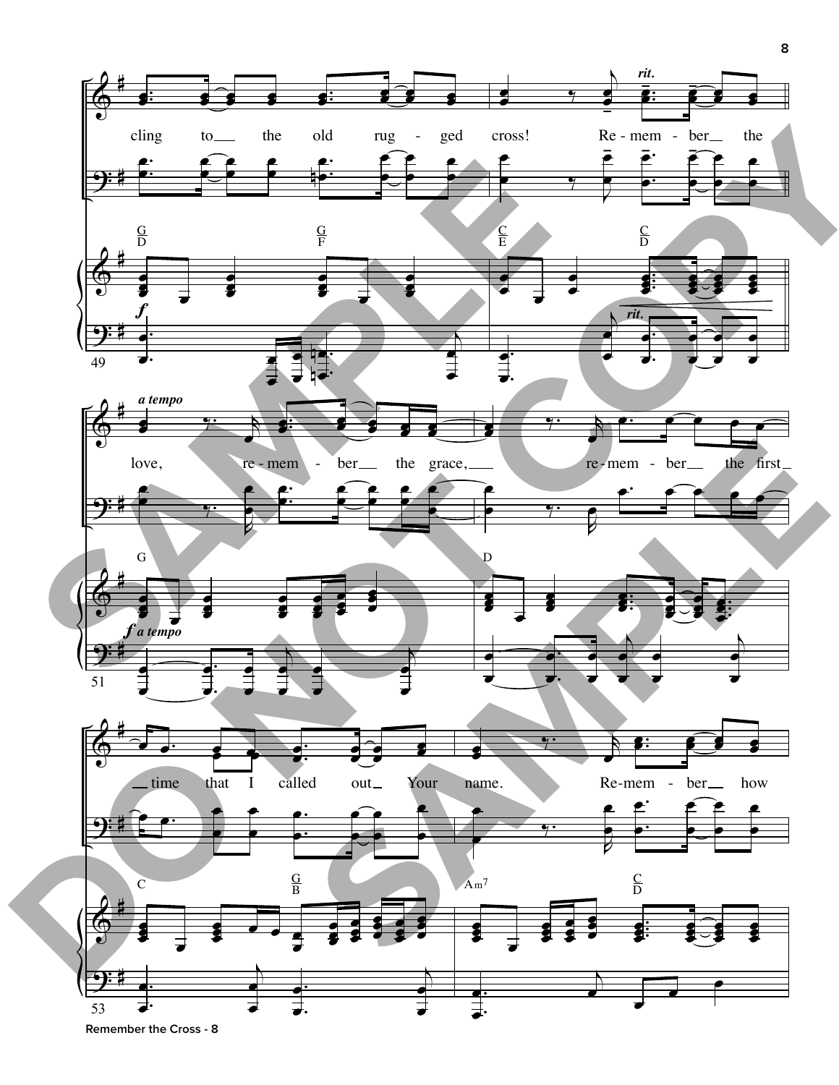

**8**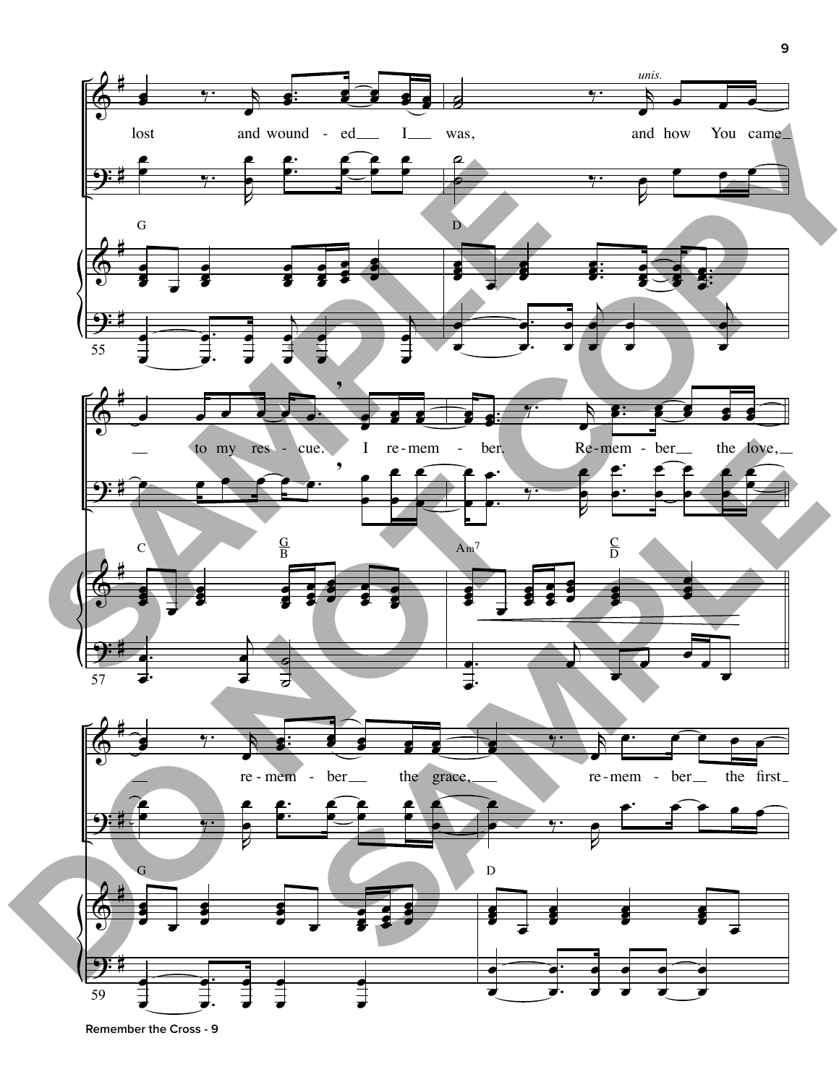

**Remember the Cross - 9**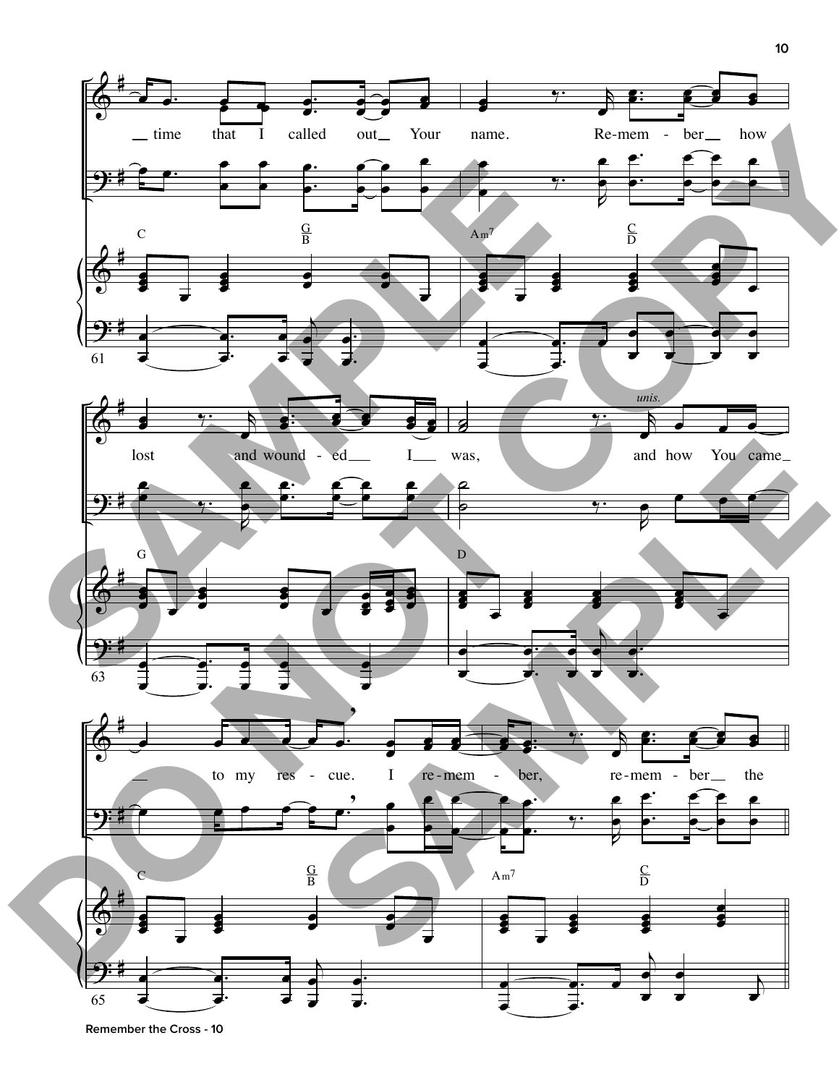

**Remember the Cross - 10**